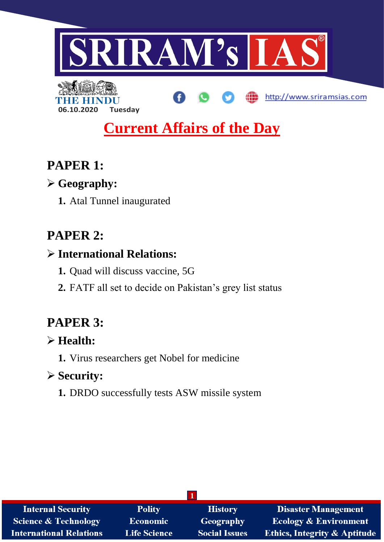

# **Current Affairs of the Day**

## **PAPER 1:**

## **Geography:**

**06.10.2020 Tuesday**

**1.** Atal Tunnel inaugurated

## **PAPER 2:**

## **International Relations:**

- **1.** Quad will discuss vaccine, 5G
- **2.** FATF all set to decide on Pakistan's grey list status

## **PAPER 3:**

## **Health:**

**1.** Virus researchers get Nobel for medicine

### **Security:**

**1.** DRDO successfully tests ASW missile system

| <b>Internal Security</b>        | <b>Polity</b>       | <b>History</b>       | <b>Disaster Management</b>              |
|---------------------------------|---------------------|----------------------|-----------------------------------------|
| <b>Science &amp; Technology</b> | Economic            | <b>Geography</b>     | <b>Ecology &amp; Environment</b>        |
| <b>International Relations</b>  | <b>Life Science</b> | <b>Social Issues</b> | <b>Ethics, Integrity &amp; Aptitude</b> |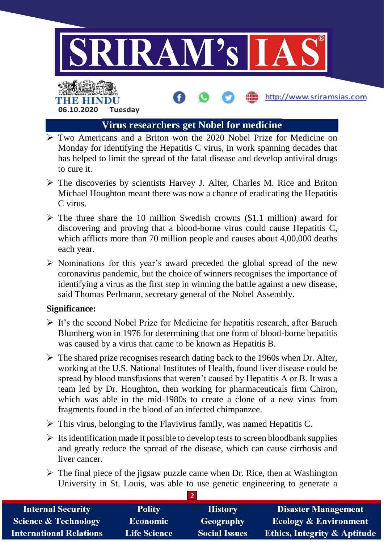

### **Virus researchers get Nobel for medicine**

- Two Americans and a Briton won the 2020 Nobel Prize for Medicine on Monday for identifying the Hepatitis C virus, in work spanning decades that has helped to limit the spread of the fatal disease and develop antiviral drugs to cure it.
- $\triangleright$  The discoveries by scientists Harvey J. Alter, Charles M. Rice and Briton Michael Houghton meant there was now a chance of eradicating the Hepatitis C virus.
- $\triangleright$  The three share the 10 million Swedish crowns (\$1.1 million) award for discovering and proving that a blood-borne virus could cause Hepatitis C, which afflicts more than 70 million people and causes about 4,00,000 deaths each year.
- $\triangleright$  Nominations for this year's award preceded the global spread of the new coronavirus pandemic, but the choice of winners recognises the importance of identifying a virus as the first step in winning the battle against a new disease, said Thomas Perlmann, secretary general of the Nobel Assembly.

#### **Significance:**

- $\triangleright$  It's the second Nobel Prize for Medicine for hepatitis research, after Baruch Blumberg won in 1976 for determining that one form of blood-borne hepatitis was caused by a virus that came to be known as Hepatitis B.
- $\triangleright$  The shared prize recognises research dating back to the 1960s when Dr. Alter, working at the U.S. National Institutes of Health, found liver disease could be spread by blood transfusions that weren't caused by Hepatitis A or B. It was a team led by Dr. Houghton, then working for pharmaceuticals firm Chiron, which was able in the mid-1980s to create a clone of a new virus from fragments found in the blood of an infected chimpanzee.
- $\triangleright$  This virus, belonging to the Flavivirus family, was named Hepatitis C.
- $\triangleright$  Its identification made it possible to develop tests to screen bloodbank supplies and greatly reduce the spread of the disease, which can cause cirrhosis and liver cancer.
- $\triangleright$  The final piece of the jigsaw puzzle came when Dr. Rice, then at Washington University in St. Louis, was able to use genetic engineering to generate a

| <b>Internal Security</b>        | <b>Polity</b>       | <b>History</b>       | <b>Disaster Management</b>              |
|---------------------------------|---------------------|----------------------|-----------------------------------------|
| <b>Science &amp; Technology</b> | <b>Economic</b>     | Geography            | <b>Ecology &amp; Environment</b>        |
| <b>International Relations</b>  | <b>Life Science</b> | <b>Social Issues</b> | <b>Ethics, Integrity &amp; Aptitude</b> |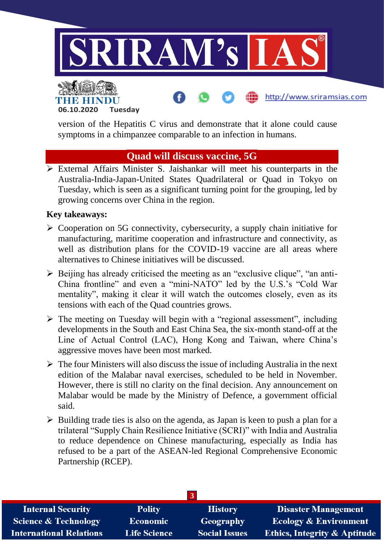

http://www.sriramsias.com



version of the Hepatitis C virus and demonstrate that it alone could cause symptoms in a chimpanzee comparable to an infection in humans.

#### **Quad will discuss vaccine, 5G**

 External Affairs Minister S. Jaishankar will meet his counterparts in the Australia-India-Japan-United States Quadrilateral or Quad in Tokyo on Tuesday, which is seen as a significant turning point for the grouping, led by growing concerns over China in the region.

#### **Key takeaways:**

- $\triangleright$  Cooperation on 5G connectivity, cybersecurity, a supply chain initiative for manufacturing, maritime cooperation and infrastructure and connectivity, as well as distribution plans for the COVID-19 vaccine are all areas where alternatives to Chinese initiatives will be discussed.
- $\triangleright$  Beijing has already criticised the meeting as an "exclusive clique", "an anti-China frontline" and even a "mini-NATO" led by the U.S.'s "Cold War mentality", making it clear it will watch the outcomes closely, even as its tensions with each of the Quad countries grows.
- $\triangleright$  The meeting on Tuesday will begin with a "regional assessment", including developments in the South and East China Sea, the six-month stand-off at the Line of Actual Control (LAC), Hong Kong and Taiwan, where China's aggressive moves have been most marked.
- $\triangleright$  The four Ministers will also discuss the issue of including Australia in the next edition of the Malabar naval exercises, scheduled to be held in November. However, there is still no clarity on the final decision. Any announcement on Malabar would be made by the Ministry of Defence, a government official said.
- $\triangleright$  Building trade ties is also on the agenda, as Japan is keen to push a plan for a trilateral "Supply Chain Resilience Initiative (SCRI)" with India and Australia to reduce dependence on Chinese manufacturing, especially as India has refused to be a part of the ASEAN-led Regional Comprehensive Economic Partnership (RCEP).

| <b>Internal Security</b>        | <b>Polity</b>       | <b>History</b>       | <b>Disaster Management</b>              |
|---------------------------------|---------------------|----------------------|-----------------------------------------|
| <b>Science &amp; Technology</b> | <b>Economic</b>     | Geography            | <b>Ecology &amp; Environment</b>        |
| <b>International Relations</b>  | <b>Life Science</b> | <b>Social Issues</b> | <b>Ethics, Integrity &amp; Aptitude</b> |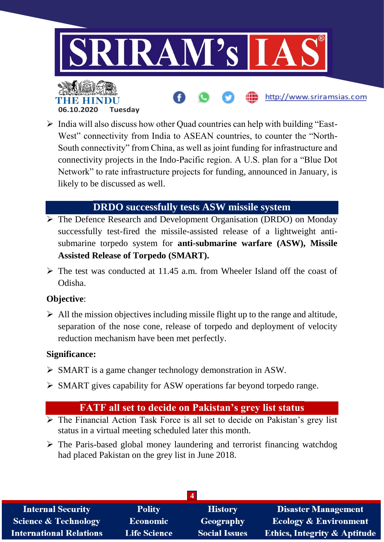

 India will also discuss how other Quad countries can help with building "East-West" connectivity from India to ASEAN countries, to counter the "North-South connectivity" from China, as well as joint funding for infrastructure and connectivity projects in the Indo-Pacific region. A U.S. plan for a "Blue Dot Network" to rate infrastructure projects for funding, announced in January, is likely to be discussed as well.

### **DRDO successfully tests ASW missile system**

- **The Defence Research and Development Organisation (DRDO) on Monday** successfully test-fired the missile-assisted release of a lightweight antisubmarine torpedo system for **anti-submarine warfare (ASW), Missile Assisted Release of Torpedo (SMART).**
- $\triangleright$  The test was conducted at 11.45 a.m. from Wheeler Island off the coast of Odisha.

#### **Objective**:

 $\triangleright$  All the mission objectives including missile flight up to the range and altitude, separation of the nose cone, release of torpedo and deployment of velocity reduction mechanism have been met perfectly.

#### **Significance:**

- SMART is a game changer technology demonstration in ASW.
- $\triangleright$  SMART gives capability for ASW operations far beyond torpedo range.

#### **FATF all set to decide on Pakistan's grey list status**

- $\overline{\triangleright}$  The Financial Action Task Force is all set to decide on Pakistan's grey list status in a virtual meeting scheduled later this month.
- $\triangleright$  The Paris-based global money laundering and terrorist financing watchdog had placed Pakistan on the grey list in June 2018.

| <b>Internal Security</b>       | <b>Polity</b>       | <b>History</b>       | <b>Disaster Management</b>              |
|--------------------------------|---------------------|----------------------|-----------------------------------------|
| Science & Technology           | <b>Economic</b>     | Geography            | <b>Ecology &amp; Environment</b>        |
| <b>International Relations</b> | <b>Life Science</b> | <b>Social Issues</b> | <b>Ethics, Integrity &amp; Aptitude</b> |